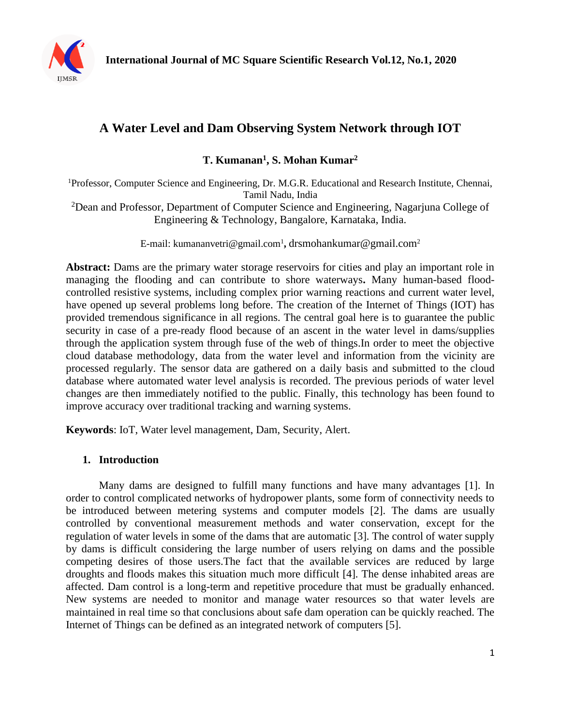

# **A Water Level and Dam Observing System Network through IOT**

**T. Kumanan<sup>1</sup> , S. Mohan Kumar<sup>2</sup>**

<sup>1</sup>Professor, Computer Science and Engineering, Dr. M.G.R. Educational and Research Institute, Chennai, Tamil Nadu, India

<sup>2</sup>Dean and Professor, Department of Computer Science and Engineering, Nagarjuna College of Engineering & Technology, Bangalore, Karnataka, India.

E-mail: kumananvetri@gmail.com<sup>1</sup>, drsmohankumar@gmail.com<sup>2</sup>

Abstract: Dams are the primary water storage reservoirs for cities and play an important role in managing the flooding and can contribute to shore waterways**.** Many human-based floodcontrolled resistive systems, including complex prior warning reactions and current water level, have opened up several problems long before. The creation of the Internet of Things (IOT) has provided tremendous significance in all regions. The central goal here is to guarantee the public security in case of a pre-ready flood because of an ascent in the water level in dams/supplies through the application system through fuse of the web of things.In order to meet the objective cloud database methodology, data from the water level and information from the vicinity are processed regularly. The sensor data are gathered on a daily basis and submitted to the cloud database where automated water level analysis is recorded. The previous periods of water level changes are then immediately notified to the public. Finally, this technology has been found to improve accuracy over traditional tracking and warning systems.

**Keywords**: IoT, Water level management, Dam, Security, Alert.

## **1. Introduction**

Many dams are designed to fulfill many functions and have many advantages [1]. In order to control complicated networks of hydropower plants, some form of connectivity needs to be introduced between metering systems and computer models [2]. The dams are usually controlled by conventional measurement methods and water conservation, except for the regulation of water levels in some of the dams that are automatic [3]. The control of water supply by dams is difficult considering the large number of users relying on dams and the possible competing desires of those users.The fact that the available services are reduced by large droughts and floods makes this situation much more difficult [4]. The dense inhabited areas are affected. Dam control is a long-term and repetitive procedure that must be gradually enhanced. New systems are needed to monitor and manage water resources so that water levels are maintained in real time so that conclusions about safe dam operation can be quickly reached. The Internet of Things can be defined as an integrated network of computers [5].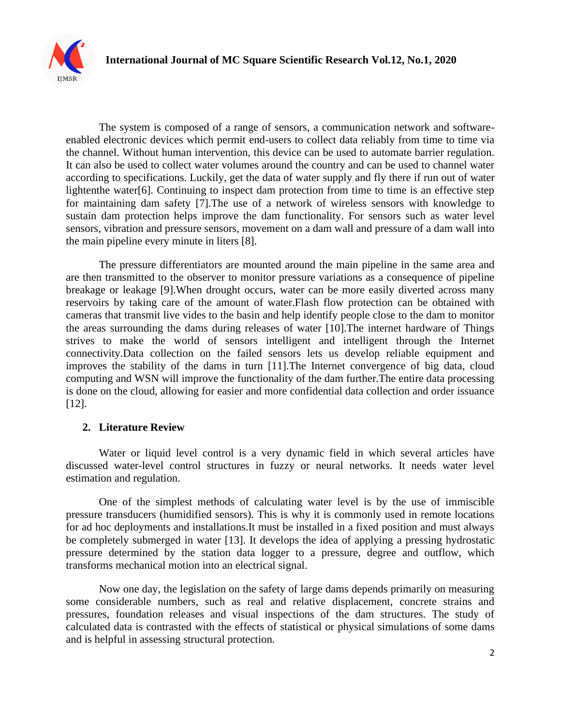

The system is composed of a range of sensors, a communication network and softwareenabled electronic devices which permit end-users to collect data reliably from time to time via the channel. Without human intervention, this device can be used to automate barrier regulation. It can also be used to collect water volumes around the country and can be used to channel water according to specifications. Luckily, get the data of water supply and fly there if run out of water lightenthe water[6]. Continuing to inspect dam protection from time to time is an effective step for maintaining dam safety [7].The use of a network of wireless sensors with knowledge to sustain dam protection helps improve the dam functionality. For sensors such as water level sensors, vibration and pressure sensors, movement on a dam wall and pressure of a dam wall into the main pipeline every minute in liters [8].

The pressure differentiators are mounted around the main pipeline in the same area and are then transmitted to the observer to monitor pressure variations as a consequence of pipeline breakage or leakage [9].When drought occurs, water can be more easily diverted across many reservoirs by taking care of the amount of water.Flash flow protection can be obtained with cameras that transmit live vides to the basin and help identify people close to the dam to monitor the areas surrounding the dams during releases of water [10].The internet hardware of Things strives to make the world of sensors intelligent and intelligent through the Internet connectivity.Data collection on the failed sensors lets us develop reliable equipment and improves the stability of the dams in turn [11].The Internet convergence of big data, cloud computing and WSN will improve the functionality of the dam further.The entire data processing is done on the cloud, allowing for easier and more confidential data collection and order issuance [12].

## **2. Literature Review**

Water or liquid level control is a very dynamic field in which several articles have discussed water-level control structures in fuzzy or neural networks. It needs water level estimation and regulation.

One of the simplest methods of calculating water level is by the use of immiscible pressure transducers (humidified sensors). This is why it is commonly used in remote locations for ad hoc deployments and installations.It must be installed in a fixed position and must always be completely submerged in water [13]. It develops the idea of applying a pressing hydrostatic pressure determined by the station data logger to a pressure, degree and outflow, which transforms mechanical motion into an electrical signal.

Now one day, the legislation on the safety of large dams depends primarily on measuring some considerable numbers, such as real and relative displacement, concrete strains and pressures, foundation releases and visual inspections of the dam structures. The study of calculated data is contrasted with the effects of statistical or physical simulations of some dams and is helpful in assessing structural protection.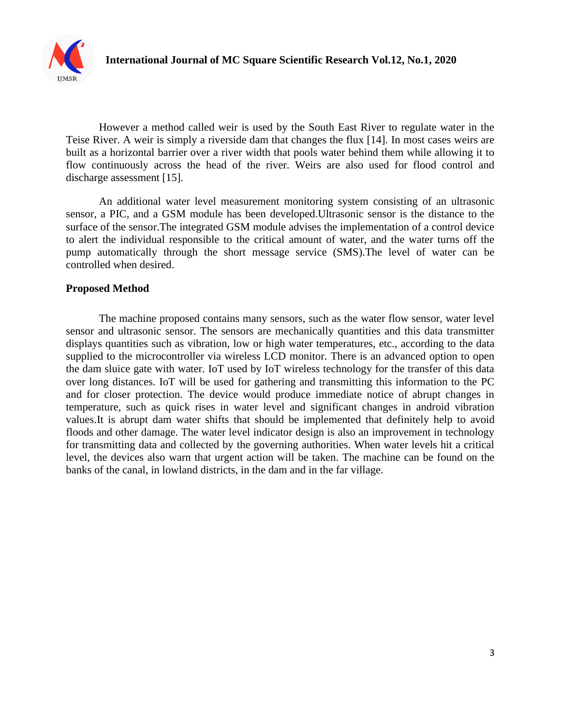

However a method called weir is used by the South East River to regulate water in the Teise River. A weir is simply a riverside dam that changes the flux [14]. In most cases weirs are built as a horizontal barrier over a river width that pools water behind them while allowing it to flow continuously across the head of the river. Weirs are also used for flood control and discharge assessment [15].

An additional water level measurement monitoring system consisting of an ultrasonic sensor, a PIC, and a GSM module has been developed.Ultrasonic sensor is the distance to the surface of the sensor.The integrated GSM module advises the implementation of a control device to alert the individual responsible to the critical amount of water, and the water turns off the pump automatically through the short message service (SMS).The level of water can be controlled when desired.

#### **Proposed Method**

The machine proposed contains many sensors, such as the water flow sensor, water level sensor and ultrasonic sensor. The sensors are mechanically quantities and this data transmitter displays quantities such as vibration, low or high water temperatures, etc., according to the data supplied to the microcontroller via wireless LCD monitor. There is an advanced option to open the dam sluice gate with water. IoT used by IoT wireless technology for the transfer of this data over long distances. IoT will be used for gathering and transmitting this information to the PC and for closer protection. The device would produce immediate notice of abrupt changes in temperature, such as quick rises in water level and significant changes in android vibration values.It is abrupt dam water shifts that should be implemented that definitely help to avoid floods and other damage. The water level indicator design is also an improvement in technology for transmitting data and collected by the governing authorities. When water levels hit a critical level, the devices also warn that urgent action will be taken. The machine can be found on the banks of the canal, in lowland districts, in the dam and in the far village.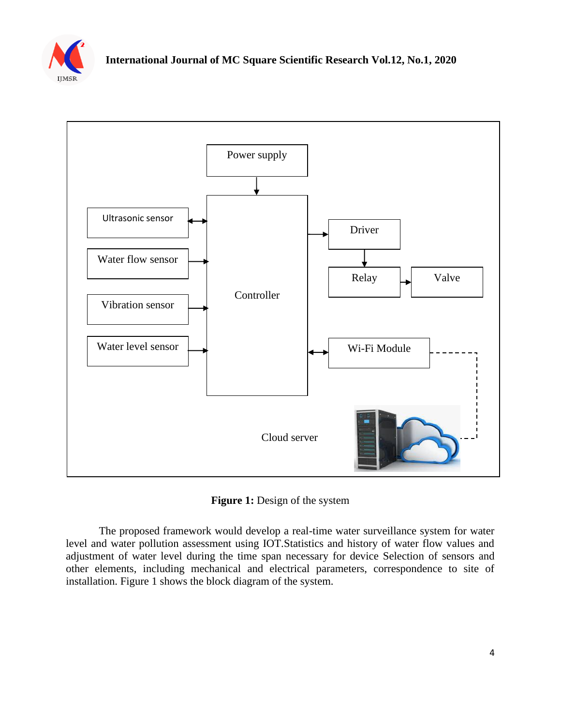



**Figure 1:** Design of the system

The proposed framework would develop a real-time water surveillance system for water level and water pollution assessment using IOT.Statistics and history of water flow values and adjustment of water level during the time span necessary for device Selection of sensors and other elements, including mechanical and electrical parameters, correspondence to site of installation. Figure 1 shows the block diagram of the system.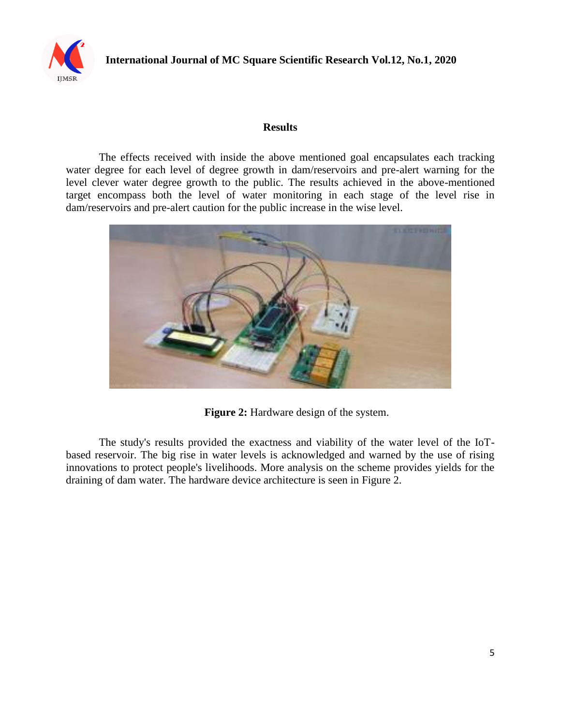

#### **Results**

The effects received with inside the above mentioned goal encapsulates each tracking water degree for each level of degree growth in dam/reservoirs and pre-alert warning for the level clever water degree growth to the public. The results achieved in the above-mentioned target encompass both the level of water monitoring in each stage of the level rise in dam/reservoirs and pre-alert caution for the public increase in the wise level.



**Figure 2:** Hardware design of the system.

The study's results provided the exactness and viability of the water level of the IoTbased reservoir. The big rise in water levels is acknowledged and warned by the use of rising innovations to protect people's livelihoods. More analysis on the scheme provides yields for the draining of dam water. The hardware device architecture is seen in Figure 2.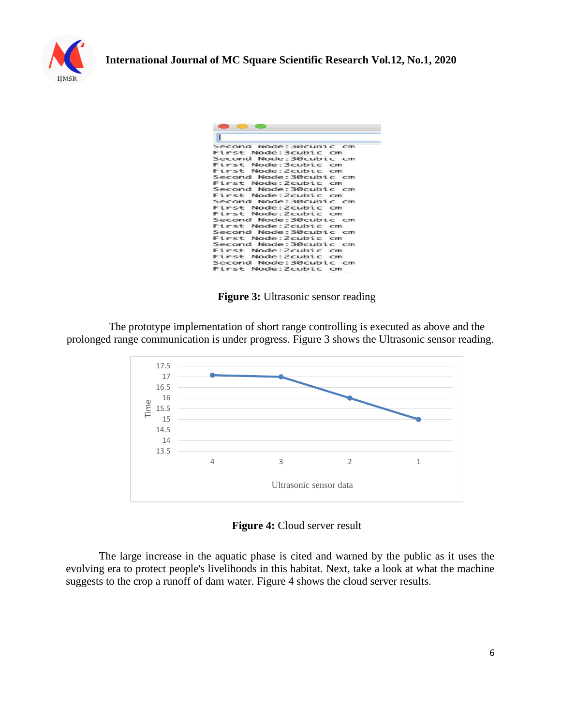

| Second Node: SWCUDIC CM |
|-------------------------|
| First Node: 3cubic cm   |
| Second Node:30cubic cm  |
| First Node:3cubic cm    |
| First Node: Zcubic cm   |
| Second Node:30cubic cm  |
| First Node: Zcubic cm   |
| Second Node:30cubic cm  |
| First Node: Zcubic cm   |
| Second Node: 30cubic cm |
| First Node:Zcubic cm    |
| First Node: Zcubic cm   |
| Second Node:30cubic cm  |
| First Node: Zcubic cm   |
| Second Node: 30cubic cm |
| First Node:Zcubic cm    |
| Second Node: 30cubic cm |
| First Node: Zcubic cm   |
| Eirst Node: Zcubic cm   |
| Second Node:30cubic cm  |
| First Node:2cubic cm    |

**Figure 3:** Ultrasonic sensor reading

The prototype implementation of short range controlling is executed as above and the prolonged range communication is under progress. Figure 3 shows the Ultrasonic sensor reading.



**Figure 4:** Cloud server result

The large increase in the aquatic phase is cited and warned by the public as it uses the evolving era to protect people's livelihoods in this habitat. Next, take a look at what the machine suggests to the crop a runoff of dam water. Figure 4 shows the cloud server results.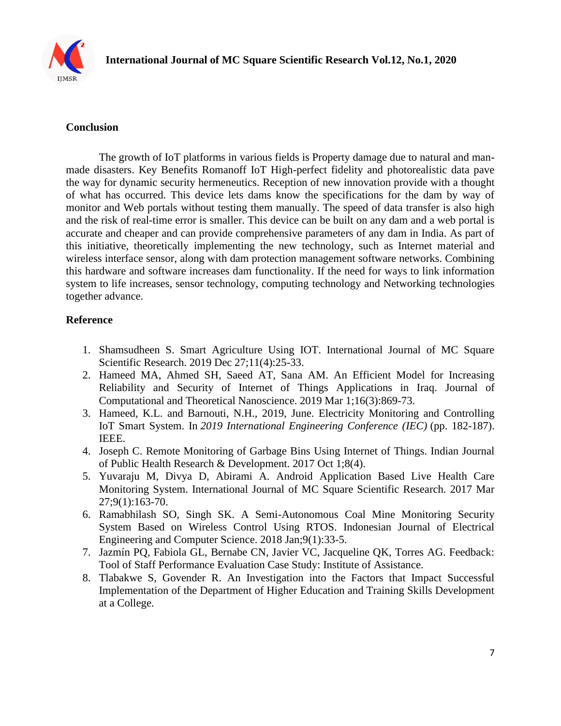

# **Conclusion**

The growth of IoT platforms in various fields is Property damage due to natural and manmade disasters. Key Benefits Romanoff IoT High-perfect fidelity and photorealistic data pave the way for dynamic security hermeneutics. Reception of new innovation provide with a thought of what has occurred. This device lets dams know the specifications for the dam by way of monitor and Web portals without testing them manually. The speed of data transfer is also high and the risk of real-time error is smaller. This device can be built on any dam and a web portal is accurate and cheaper and can provide comprehensive parameters of any dam in India. As part of this initiative, theoretically implementing the new technology, such as Internet material and wireless interface sensor, along with dam protection management software networks. Combining this hardware and software increases dam functionality. If the need for ways to link information system to life increases, sensor technology, computing technology and Networking technologies together advance.

# **Reference**

- 1. Shamsudheen S. Smart Agriculture Using IOT. International Journal of MC Square Scientific Research. 2019 Dec 27;11(4):25-33.
- 2. Hameed MA, Ahmed SH, Saeed AT, Sana AM. An Efficient Model for Increasing Reliability and Security of Internet of Things Applications in Iraq. Journal of Computational and Theoretical Nanoscience. 2019 Mar 1;16(3):869-73.
- 3. Hameed, K.L. and Barnouti, N.H., 2019, June. Electricity Monitoring and Controlling IoT Smart System. In *2019 International Engineering Conference (IEC)* (pp. 182-187). IEEE.
- 4. Joseph C. Remote Monitoring of Garbage Bins Using Internet of Things. Indian Journal of Public Health Research & Development. 2017 Oct 1;8(4).
- 5. Yuvaraju M, Divya D, Abirami A. Android Application Based Live Health Care Monitoring System. International Journal of MC Square Scientific Research. 2017 Mar 27;9(1):163-70.
- 6. Ramabhilash SO, Singh SK. A Semi-Autonomous Coal Mine Monitoring Security System Based on Wireless Control Using RTOS. Indonesian Journal of Electrical Engineering and Computer Science. 2018 Jan;9(1):33-5.
- 7. Jazmín PQ, Fabiola GL, Bernabe CN, Javier VC, Jacqueline QK, Torres AG. Feedback: Tool of Staff Performance Evaluation Case Study: Institute of Assistance.
- 8. Tlabakwe S, Govender R. An Investigation into the Factors that Impact Successful Implementation of the Department of Higher Education and Training Skills Development at a College.